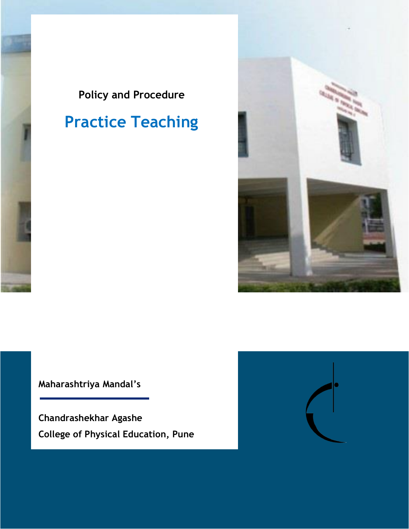## **Policy and Procedure**

# **Practice Teaching**



**Maharashtriya Mandal's**

**Chandrashekhar Agashe College of Physical Education, Pune**

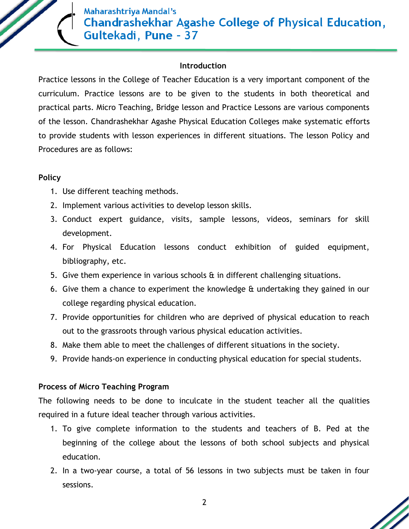

#### **Introduction**

Practice lessons in the College of Teacher Education is a very important component of the curriculum. Practice lessons are to be given to the students in both theoretical and practical parts. Micro Teaching, Bridge lesson and Practice Lessons are various components of the lesson. Chandrashekhar Agashe Physical Education Colleges make systematic efforts to provide students with lesson experiences in different situations. The lesson Policy and Procedures are as follows:

#### **Policy**

- 1. Use different teaching methods.
- 2. Implement various activities to develop lesson skills.
- 3. Conduct expert guidance, visits, sample lessons, videos, seminars for skill development.
- 4. For Physical Education lessons conduct exhibition of guided equipment, bibliography, etc.
- 5. Give them experience in various schools & in different challenging situations.
- 6. Give them a chance to experiment the knowledge & undertaking they gained in our college regarding physical education.
- 7. Provide opportunities for children who are deprived of physical education to reach out to the grassroots through various physical education activities.
- 8. Make them able to meet the challenges of different situations in the society.
- 9. Provide hands-on experience in conducting physical education for special students.

#### **Process of Micro Teaching Program**

The following needs to be done to inculcate in the student teacher all the qualities required in a future ideal teacher through various activities.

- 1. To give complete information to the students and teachers of B. Ped at the beginning of the college about the lessons of both school subjects and physical education.
- 2. In a two-year course, a total of 56 lessons in two subjects must be taken in four sessions.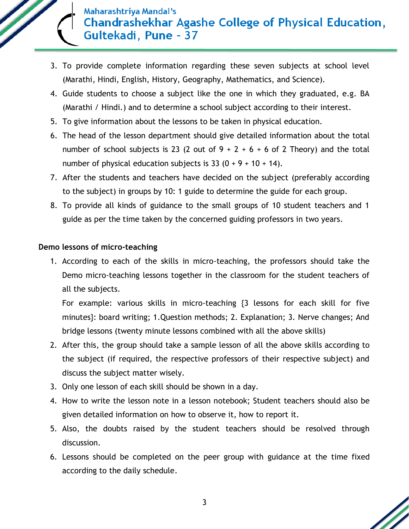- 3. To provide complete information regarding these seven subjects at school level (Marathi, Hindi, English, History, Geography, Mathematics, and Science).
- 4. Guide students to choose a subject like the one in which they graduated, e.g. BA (Marathi / Hindi.) and to determine a school subject according to their interest.
- 5. To give information about the lessons to be taken in physical education.
- 6. The head of the lesson department should give detailed information about the total number of school subjects is 23 (2 out of  $9 + 2 + 6 + 6$  of 2 Theory) and the total number of physical education subjects is  $33 (0 + 9 + 10 + 14)$ .
- 7. After the students and teachers have decided on the subject (preferably according to the subject) in groups by 10: 1 guide to determine the guide for each group.
- 8. To provide all kinds of guidance to the small groups of 10 student teachers and 1 guide as per the time taken by the concerned guiding professors in two years.

#### **Demo lessons of micro-teaching**

1. According to each of the skills in micro-teaching, the professors should take the Demo micro-teaching lessons together in the classroom for the student teachers of all the subjects.

For example: various skills in micro-teaching {3 lessons for each skill for five minutes}: board writing; 1.Question methods; 2. Explanation; 3. Nerve changes; And bridge lessons (twenty minute lessons combined with all the above skills)

- 2. After this, the group should take a sample lesson of all the above skills according to the subject (if required, the respective professors of their respective subject) and discuss the subject matter wisely.
- 3. Only one lesson of each skill should be shown in a day.
- 4. How to write the lesson note in a lesson notebook; Student teachers should also be given detailed information on how to observe it, how to report it.
- 5. Also, the doubts raised by the student teachers should be resolved through discussion.
- 6. Lessons should be completed on the peer group with guidance at the time fixed according to the daily schedule.

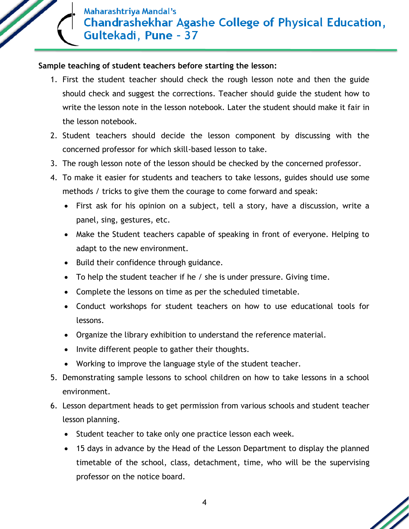#### **Sample teaching of student teachers before starting the lesson:**

- 1. First the student teacher should check the rough lesson note and then the guide should check and suggest the corrections. Teacher should guide the student how to write the lesson note in the lesson notebook. Later the student should make it fair in the lesson notebook.
- 2. Student teachers should decide the lesson component by discussing with the concerned professor for which skill-based lesson to take.
- 3. The rough lesson note of the lesson should be checked by the concerned professor.
- 4. To make it easier for students and teachers to take lessons, guides should use some methods / tricks to give them the courage to come forward and speak:
	- First ask for his opinion on a subject, tell a story, have a discussion, write a panel, sing, gestures, etc.
	- Make the Student teachers capable of speaking in front of everyone. Helping to adapt to the new environment.
	- Build their confidence through guidance.
	- To help the student teacher if he / she is under pressure. Giving time.
	- Complete the lessons on time as per the scheduled timetable.
	- Conduct workshops for student teachers on how to use educational tools for lessons.
	- Organize the library exhibition to understand the reference material.
	- Invite different people to gather their thoughts.
	- Working to improve the language style of the student teacher.
- 5. Demonstrating sample lessons to school children on how to take lessons in a school environment.
- 6. Lesson department heads to get permission from various schools and student teacher lesson planning.
	- Student teacher to take only one practice lesson each week.
	- 15 days in advance by the Head of the Lesson Department to display the planned timetable of the school, class, detachment, time, who will be the supervising professor on the notice board.

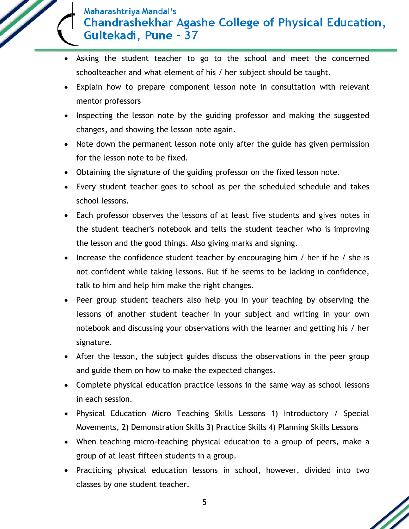- Asking the student teacher to go to the school and meet the concerned schoolteacher and what element of his / her subject should be taught.
- Explain how to prepare component lesson note in consultation with relevant mentor professors
- Inspecting the lesson note by the guiding professor and making the suggested changes, and showing the lesson note again.
- Note down the permanent lesson note only after the guide has given permission for the lesson note to be fixed.
- Obtaining the signature of the guiding professor on the fixed lesson note.
- Every student teacher goes to school as per the scheduled schedule and takes school lessons.
- Each professor observes the lessons of at least five students and gives notes in the student teacher's notebook and tells the student teacher who is improving the lesson and the good things. Also giving marks and signing.
- Increase the confidence student teacher by encouraging him / her if he / she is not confident while taking lessons. But if he seems to be lacking in confidence, talk to him and help him make the right changes.
- Peer group student teachers also help you in your teaching by observing the lessons of another student teacher in your subject and writing in your own notebook and discussing your observations with the learner and getting his / her signature.
- After the lesson, the subject guides discuss the observations in the peer group and guide them on how to make the expected changes.
- Complete physical education practice lessons in the same way as school lessons in each session.
- Physical Education Micro Teaching Skills Lessons 1) Introductory / Special Movements, 2) Demonstration Skills 3) Practice Skills 4) Planning Skills Lessons
- When teaching micro-teaching physical education to a group of peers, make a group of at least fifteen students in a group.
- Practicing physical education lessons in school, however, divided into two classes by one student teacher.

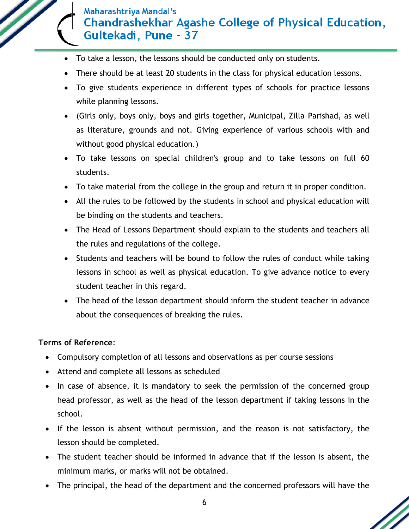- To take a lesson, the lessons should be conducted only on students.
- There should be at least 20 students in the class for physical education lessons.
- To give students experience in different types of schools for practice lessons while planning lessons.
- (Girls only, boys only, boys and girls together, Municipal, Zilla Parishad, as well as literature, grounds and not. Giving experience of various schools with and without good physical education.)
- To take lessons on special children's group and to take lessons on full 60 students.
- To take material from the college in the group and return it in proper condition.
- All the rules to be followed by the students in school and physical education will be binding on the students and teachers.
- The Head of Lessons Department should explain to the students and teachers all the rules and regulations of the college.
- Students and teachers will be bound to follow the rules of conduct while taking lessons in school as well as physical education. To give advance notice to every student teacher in this regard.
- The head of the lesson department should inform the student teacher in advance about the consequences of breaking the rules.

#### **Terms of Reference**:

- Compulsory completion of all lessons and observations as per course sessions
- Attend and complete all lessons as scheduled
- In case of absence, it is mandatory to seek the permission of the concerned group head professor, as well as the head of the lesson department if taking lessons in the school.
- If the lesson is absent without permission, and the reason is not satisfactory, the lesson should be completed.
- The student teacher should be informed in advance that if the lesson is absent, the minimum marks, or marks will not be obtained.
- The principal, the head of the department and the concerned professors will have the

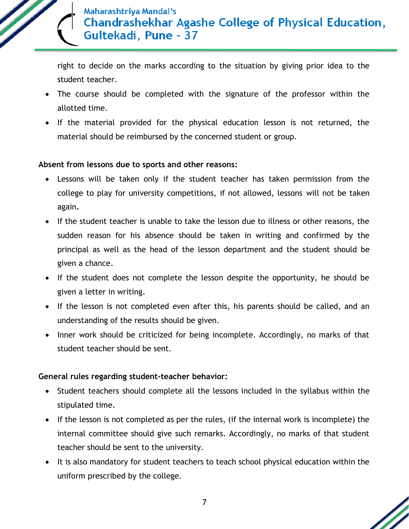

right to decide on the marks according to the situation by giving prior idea to the student teacher.

- The course should be completed with the signature of the professor within the allotted time.
- If the material provided for the physical education lesson is not returned, the material should be reimbursed by the concerned student or group.

#### **Absent from lessons due to sports and other reasons:**

- Lessons will be taken only if the student teacher has taken permission from the college to play for university competitions, if not allowed, lessons will not be taken again**.**
- If the student teacher is unable to take the lesson due to illness or other reasons, the sudden reason for his absence should be taken in writing and confirmed by the principal as well as the head of the lesson department and the student should be given a chance.
- If the student does not complete the lesson despite the opportunity, he should be given a letter in writing.
- If the lesson is not completed even after this, his parents should be called, and an understanding of the results should be given.
- Inner work should be criticized for being incomplete. Accordingly, no marks of that student teacher should be sent.

#### **General rules regarding student-teacher behavior:**

- Student teachers should complete all the lessons included in the syllabus within the stipulated time.
- If the lesson is not completed as per the rules, (if the internal work is incomplete) the internal committee should give such remarks. Accordingly, no marks of that student teacher should be sent to the university.
- It is also mandatory for student teachers to teach school physical education within the uniform prescribed by the college.

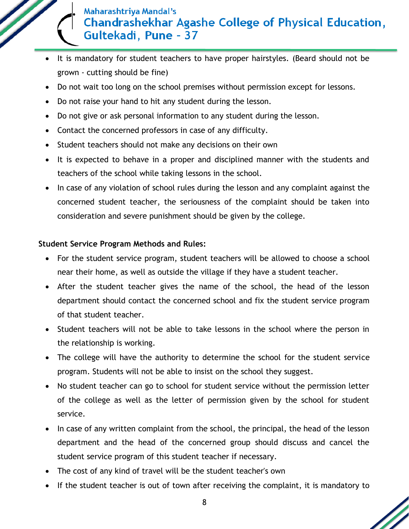- It is mandatory for student teachers to have proper hairstyles. (Beard should not be grown - cutting should be fine)
- Do not wait too long on the school premises without permission except for lessons.
- Do not raise your hand to hit any student during the lesson.
- Do not give or ask personal information to any student during the lesson.
- Contact the concerned professors in case of any difficulty.
- Student teachers should not make any decisions on their own
- It is expected to behave in a proper and disciplined manner with the students and teachers of the school while taking lessons in the school.
- In case of any violation of school rules during the lesson and any complaint against the concerned student teacher, the seriousness of the complaint should be taken into consideration and severe punishment should be given by the college.

### **Student Service Program Methods and Rules:**

- For the student service program, student teachers will be allowed to choose a school near their home, as well as outside the village if they have a student teacher.
- After the student teacher gives the name of the school, the head of the lesson department should contact the concerned school and fix the student service program of that student teacher.
- Student teachers will not be able to take lessons in the school where the person in the relationship is working.
- The college will have the authority to determine the school for the student service program. Students will not be able to insist on the school they suggest.
- No student teacher can go to school for student service without the permission letter of the college as well as the letter of permission given by the school for student service.
- In case of any written complaint from the school, the principal, the head of the lesson department and the head of the concerned group should discuss and cancel the student service program of this student teacher if necessary.
- The cost of any kind of travel will be the student teacher's own
- If the student teacher is out of town after receiving the complaint, it is mandatory to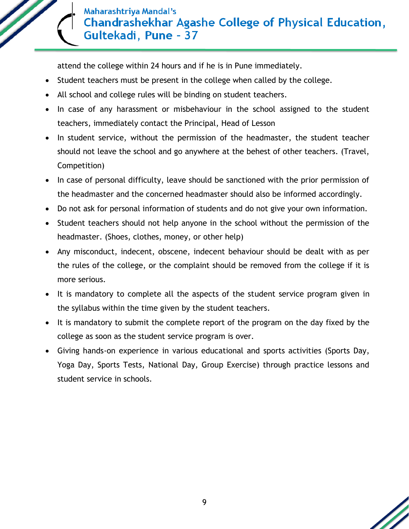attend the college within 24 hours and if he is in Pune immediately.

- Student teachers must be present in the college when called by the college.
- All school and college rules will be binding on student teachers.
- In case of any harassment or misbehaviour in the school assigned to the student teachers, immediately contact the Principal, Head of Lesson
- In student service, without the permission of the headmaster, the student teacher should not leave the school and go anywhere at the behest of other teachers. (Travel, Competition)
- In case of personal difficulty, leave should be sanctioned with the prior permission of the headmaster and the concerned headmaster should also be informed accordingly.
- Do not ask for personal information of students and do not give your own information.
- Student teachers should not help anyone in the school without the permission of the headmaster. (Shoes, clothes, money, or other help)
- Any misconduct, indecent, obscene, indecent behaviour should be dealt with as per the rules of the college, or the complaint should be removed from the college if it is more serious.
- It is mandatory to complete all the aspects of the student service program given in the syllabus within the time given by the student teachers.
- It is mandatory to submit the complete report of the program on the day fixed by the college as soon as the student service program is over.
- Giving hands-on experience in various educational and sports activities (Sports Day, Yoga Day, Sports Tests, National Day, Group Exercise) through practice lessons and student service in schools.

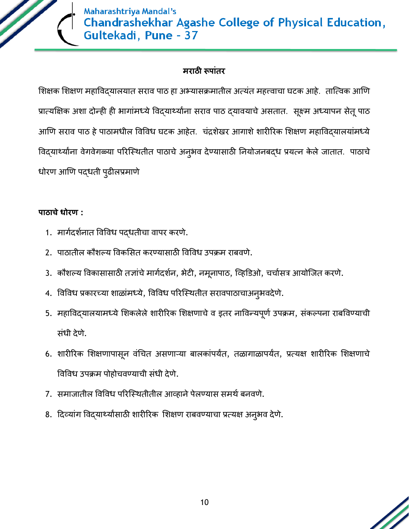

### **मराठी रूपाांतर**

शिक्षक शिक्षण महाविद्यालयात सराव पाठ हा अभ्यासक्रमातील अत्यंत महत्त्वाचा घटक आहे. तात्विक आणि प्रात्यक्षिक अशा दोन्ही ही भागांमध्ये विद्यार्थ्यांना सराव पाठ द्यावयाचे असतात. सूक्ष्म अध्यापन सेतू पाठ आणि सराव पाठ हे पाठामधील विविध घटक आहेत. चंद्रशेखर आगाशे शारीरिक शिक्षण महाविदयालयांमध्ये विद्यार्थ्यांना वेगवेगळ्या परिस्थितीत पाठाचे अनुभव देण्यासाठी नियोजनबद्ध प्रयत्न केले जातात. पाठाचे धोरण आणण पद्धती पुढीलप्रमाणे

#### **पाठाचेधोरण :**

- 1. मार्गदर्शनात विविध पद्धतीचा वापर करणे.
- 2. पाठातील कौशल्य विकसित करण्यासाठी विविध उपक्रम राबवणे.
- 3. कौशल्य विकासासाठी तज्ञांचे मार्गदर्शन, भेटी, नमूनापाठ, व्हिडिओ, चर्चासत्र आयोजित करणे.
- 4. विविध प्रकारच्या शाळांमध्ये, विविध परिस्थितीत सरावपाठाचाअनुभवदेणे.
- 5. महाविद्यालयामध्ये शिकलेले शारीरिक शिक्षणाचे व इतर नाविन्यपूर्ण उपक्रम, संकल्पना राबविण्याची संधी देणे.
- 6. शारीरिक शिक्षणापासून वंचित असणाऱ्या बालकांपर्यंत, तळागाळापर्यंत, प्रत्यक्ष शारीरिक शिक्षणाचे विविध उपक्रम पोहोचिण्याची संधी देणे.
- 7. समाजातील विविध परिस्थितीतील आव्हाने पेलण्यास समर्थ बनवणे.
- 8. दिव्यांग विद्यार्थ्यांसाठी शारीरिक शिक्षण राबवण्याचा प्रत्यक्ष अनुभव देणे.

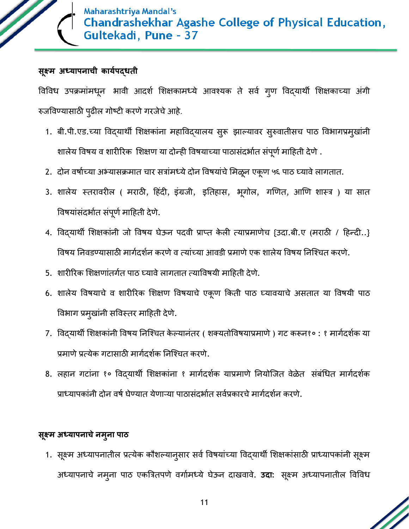

#### **सूक्ष्म अध्यापनाची काययपद्धती**

विविध उपक्रमांमधून भावी आदर्श शिक्षकामध्ये आवश्यक ते सर्व गुण विद्यार्थी शिक्षकाच्या अंगी रुजविण्यासाठी पुढील गोष्टी करणेगरजेचेआहे.

- 1. बी.पी.एड.च्या विद्यार्थी शिक्षकांना महाविद्यालय सुरू झाल्यावर सुरुवातीसच पाठ विभागप्रमुखांनी शालेय विषय व शारीरिक शिक्षण या दोन्ही विषयाच्या पाठासंदर्भात संपूर्ण माहिती देणे.
- 2. दोन वर्षाच्या अभ्यासक्रमात चार सत्रांमध्ये दोन विषयांचे मिळून एकूण ५६ पाठ घ्यावे लागतात.
- 3. शालेय स्तरावरील ( मराठी, हिंदी, इंग्रजी, इतिहास, भूगोल, गणित, आणि शास्त्र ) या सात विषयांसंदर्भात संपूर्ण माहिती देणे.
- 4. विद्यार्थी शिक्षकांनी जो विषय घेऊन पदवी प्राप्त केली त्याप्रमाणेच {उदा.बी.ए (मराठी / हिन्दी..} विषय निवडण्यासाठी मार्गदर्शन करणे व त्यांच्या आवडी प्रमाणे एक शालेय विषय निश्चित करणे.
- 5. शारीरिक शिक्षणांतर्गत पाठ घ्यावे लागतात त्याविषयी माहिती देणे.
- 6. शालेय विषयाचे व शारीरिक शिक्षण विषयाचे एकूण किती पाठ घ्यावयाचे असतात या विषयी पाठ विभाग प्रमुखांनी सविथतर मादहती देणे.
- 7. विद्यार्थी शिक्षकांनी विषय निश्चित केल्यानंतर ( शक्यतोविषयाप्रमाणे ) गट करून१० : १ मार्गदर्शक या प्रमाणे प्रत्येक गटासाठी मार्गदर्शक निश्चित करणे.
- 8. लहान गटांना १० विद्यार्थी शिक्षकांना १ मार्गदर्शक याप्रमाणे नियोजित वेळेत संबंधित मार्गदर्शक प्राध्यापकांनी दोन वर्ष घेण्यात येणाऱ्या पाठासंदर्भात सर्वप्रकारचे मार्गदर्शन करणे.

#### **सूक्ष्म अध्यापनाचेनमुना पाठ**

1. सूक्ष्म अध्यापनातील प्रत्येक कौशल्यान्**सार सर्व विषयांच्या विद्**यार्थी शिक्षकांसाठी प्राध्यापकांनी सूक्ष्म अध्यापनाचे नमुना पाठ एकत्रत्रतपणे िगागमध्ये घेऊन दाखिािे. **उदा:** सूक्ष्म अध्यापनातील विविध

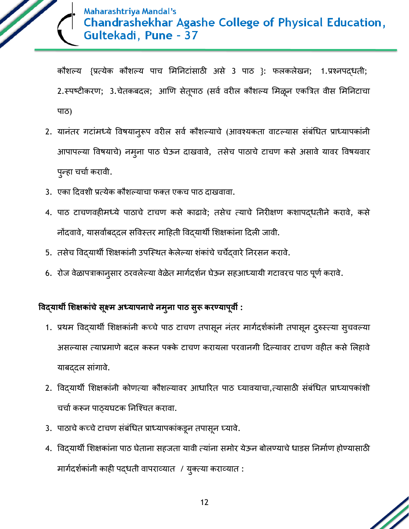

कौिल्य {प्रत्येक कौिल्य पाच शमननटांसाठी असे 3 पाठ }: फलकलेखन; 1.प्रश्नपद्धती; 2.स्पष्टीकरण; 3.चेतकबदल; आणि सेतूपाठ (सर्व वरील कौशल्य मिळून एकत्रित वीस मिनिटाचा पाठ)

- 2. यानंतर गटांमध्ये विषयान् रूप वरील सर्व कौशल्याचे (आवश्यकता वाटल्यास संबंधित प्राध्यापकांनी आपापल्या विषयाचे) नमुना पाठ घेऊन दाखवावे, तसेच पाठाचे टाचण कसे असावे यावर विषयवार पुन्हा चर्चा करावी.
- 3. एका दिवशी प्रत्येक कौशल्याचा फक्त एकच पाठ दाखवावा.
- 4. पाठ टाचणिहीमध्ये पाठाचे टाचण कसे काढािे; तसेच त्याचे ननरीक्षण किापद्धतीने करािे, कसे नोंदवावे, यासर्वांबददल सविस्तर माहिती विद्यार्थी शिक्षकांना दिली जावी.
- 5. तसेच विद्यार्थी शिक्षकांनी उपस्थित केलेल्या शंकांचे चर्चेदवारे निरसन करावे.
- 6. रोज वेळापत्राकानुसार ठरवलेल्या वेळेत मार्गदर्शन घेऊन सहआध्यायी गटावरच पाठ पूर्ण करावे.

## **विद्यार्थी शिक्षकाांचेसूक्ष्म अध्यापनाचेनमुना पाठ सुरू करण्यापूिी :**

- 1. प्रथम विद्यार्थी शिक्षकांनी कच्चे पाठ टाचण तपासून नंतर मार्गदर्शकांनी तपासून दुरुस्त्या सुचवल्या असल्यास त्याप्रमाणे बदल करून पक्के टाचण करायला परवानगी दिल्यावर टाचण वहीत कसे लिहावे याबद्दल सांगावे.
- 2. विद्यार्थी शिक्षकांनी कोणत्या कौशल्यावर आधारित पाठ घ्यावयाचा,त्यासाठी संबंधित प्राध्यापकांशी चर्चा करून पाठ्यघटक निश्चित करावा.
- 3. पाठाचे कच्चे टाचण संबंधित प्राध्यापकांकडून तपासून घ्यावे.
- 4. विद्यार्थी शिक्षकांना पाठ घेताना सहजता यावी त्यांना समोर येऊन बोलण्याचे धाडस निर्माण होण्यासाठी मार्गदर्शकांनी काही पद्धती वापराव्यात / युक्त्या कराव्यात :

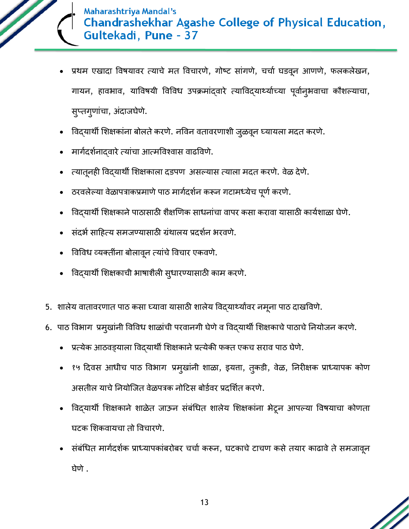

- प्रथम एखादा विषयावर त्याचे मत विचारणे, गोष्ट सांगणे, चर्चा घडवून आणणे, फलकलेखन, गायन, हावभाव, याविषयी विविध उपक्रमांद्वारे त्याविद्यार्थ्याच्या पूर्वान्9भवाचा कौशल्याचा, सुप्तगुणांचा, अंदाजघेणे.
- विद्यार्थी शिक्षकांना बोलते करणे. नविन वतावरणाशी जुळवून घ्यायला मदत करणे.
- मार्गदर्शनाद्वारे त्यांचा आत्मविश्वास वाढविणे.
- त्यातूनही विद्यार्थी शिक्षकाला दडपण असल्यास त्याला मदत करणे. वेळ देणे.
- ठरवलेल्या वेळापत्राकप्रमाणे पाठ मार्गदर्शन करून गटामध्येच पूर्ण करणे.
- विद्यार्थी शिक्षकाने पाठासाठी शैक्षणिक साधनांचा वापर कसा करावा यासाठी कार्यशाळा घेणे.
- संदर्भ साहित्य समजण्यासाठी ग्रंथालय प्रदर्शन भरवणे.
- विविध व्यक्तींना बोलावून त्यांचे विचार एकवणे.
- विद्यार्थी शिक्षकाची भाषाशैली सुधारण्यासाठी काम करणे.
- 5. शालेय वातावरणात पाठ कसा घ्यावा यासाठी शालेय विद्यार्थ्यांवर नमूना पाठ दाखविणे.
- 6. पाठ विभाग प्रमुखांनी विविध शाळांची परवानगी घेणे व विद्यार्थी शिक्षकाचे पाठाचे नियोजन करणे.
	- प्रत्येक आठवड्याला विदयार्थी शिक्षकाने प्रत्येकी फक्त एकच सराव पाठ घेणे.
	- १५ दिवस आधीच पाठ विभाग प्रमुखांनी शाळा, इयत्ता, तुकडी, वेळ, निरीक्षक प्राध्यापक कोण असतील याचे नियोजित वेळपत्रक नोटिस बोर्डवर प्रदर्शित करणे.
	- विद्यार्थी शिक्षकाने शाळेत जाऊन संबंधित शालेय शिक्षकांना भेटून आपल्या विषयाचा कोणता घटक शिकिायचा तो विचारणे.
	- संबंधित मार्गदर्शक प्राध्यापकांबरोबर चर्चा करून, घटकाचे टाचण कसे तयार काढावे ते समजावून घेणे.

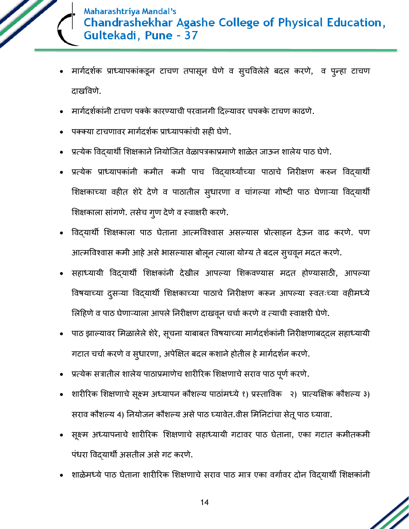

- मार्गदर्शक प्राध्यापकांकडून टाचण तपासून घेणे व सुचविलेले बदल करणे, व पुन्हा टाचण दाखविणे.
- मार्गदर्शकांनी टाचण पक्के कारण्याची परवानगी दिल्यावर चपक्के टाचण काढणे.
- पक्क्या टाचणावर मार्गदर्शक प्राध्यापकांची सही घेणे.
- प्रत्येक विदयार्थी शिक्षकाने नियोजित वेळापत्रकाप्रमाणे शाळेत जाऊन शालेय पाठ घेणे.
- प्रत्येक प्राध्यापकांनी कमीत कमी पाच विद्यार्थ्यांच्या पाठाचे निरीक्षण करुन विद्यार्थी शिक्षकाच्या वहीत शेरे देणे व पाठातील सुधारणा व चांगल्या गोष्टी पाठ घेणाऱ्या विद्यार्थी शिक्षकाला सांगणे. तसेच गुण देणे व स्वाक्षरी करणे.
- विद्यार्थी शिक्षकाला पाठ घेताना आत्मविश्वास असल्यास प्रोत्साहन देऊन वाढ करणे. पण आत्मविश्वास कमी आहे असे भासल्यास बोलून त्याला योग्य ते बदल सूचवून मदत करणे.
- सहाध्यायी विद्यािी शिक्षकांनी देखील आपल्या शिकिण्यास मदत होण्यासाठी, आपल्या विषयाच्या दुसऱ्या विद्यार्थी शिक्षकाच्या पाठाचे निरीक्षण करून आपल्या स्वतःच्या वहीमध्ये लिहिणे व पाठ घेणाऱ्याला आपले निरीक्षण दाखवून चर्चा करणे व त्याची स्वाक्षरी घेणे.
- पाठ झाल्यावर मिळालेले शेरे, सूचना याबाबत विषयाच्या मार्गदर्शकांनी निरीक्षणाबददल सहाध्यायी गटात चर्चा करणे व सुधारणा, अपेक्षित बदल कशाने होतील हे मार्गदर्शन करणे.
- प्रत्येक सत्रातील शालेय पाठाप्रमाणेच शारीरिक शिक्षणाचे सराव पाठ पूर्ण करणे.
- शारीरिक शिक्षणाचे सूक्ष्म अध्यापन कौशल्य पाठांमध्ये १) प्रस्ताविक २) प्रात्यक्षिक कौशल्य ३) सराव कौशल्य 4) नियोजन कौशल्य असे पाठ घ्यावेत.वीस मिनिटांचा सेतू पाठ घ्यावा.
- सूक्ष्म अध्यापनाचे शारीरिक शिक्षणाचे सहाध्यायी गटावर पाठ घेताना, एका गटात कमीतकमी पंधरा विदयार्थी असतील असे गट करणे.
- शाळेमध्ये पाठ घेताना शारीरिक शिक्षणाचे सराव पाठ मात्र एका वर्गावर दोन विद्यार्थी शिक्षकांनी

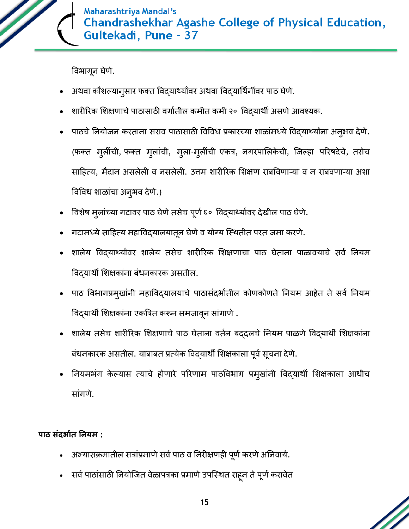

विभागून घेणे.

- अथवा कौशल्यानुसार फक्त विद्यार्थ्यांवर अथवा विद्यार्थिनींवर पाठ घेणे.
- शारीरिक शिक्षणाचे पाठासाठी वर्गातील कमीत कमी २० विद्यार्थी असणे आवश्यक.
- पाठचे नियोजन करताना सराव पाठासाठी विविध प्रकारच्या शाळांमध्ये विदयार्थ्यांना अनुभव देणे. (फक्त मुलींची, फक्त मुलांची, मुला-मुलींची एकत्र, नगरपाशलके ची, त्जल्हा पररषदेचे, तसेच साहित्य, मैदान असलेली व नसलेली. उत्तम शारीरिक शिक्षण राबविणाऱ्या व न राबवणाऱ्या अशा विविध शाळांचा अनुभव देणे.)
- विशेष मुलांच्या गटावर पाठ घेणे तसेच पूर्ण ६० विद्यार्थ्यांवर देखील पाठ घेणे.
- गटामध्ये साहित्य महाविद्यालयातून घेणे व योग्य स्थितीत परत जमा करणे.
- शालेय विद्यार्थ्यावर शालेय तसेच शारीरिक शिक्षणाचा पाठ घेताना पाळावयाचे सर्व नियम विद्यािी शिक्षकांना बंधनकारक असतील.
- पाठ विभागप्रमुखांनी महाविद्यालयाचे पाठासंदर्भातील कोणकोणते नियम आहेत ते सर्व नियम विद्यार्थी शिक्षकांना एकत्रित करून समजावून सांगाणे.
- शालेय तसेच शारीरिक शिक्षणाचे पाठ घेताना वर्तन बद्दलचे नियम पाळणे विद्यार्थी शिक्षकांना बंधनकारक असतील. याबाबत प्रत्येक विद्यार्थी शिक्षकाला पूर्व सूचना देणे.
- नियमभंग केल्यास त्याचे होणारे परिणाम पाठविभाग प्रमुखांनी विद्यार्थी शिक्षकाला आधीच सांगणे.

**पाठ सांदर्ायत ननयम :**

- अभ्यासक्रमातील सत्रांप्रमाणे सर्व पाठ व निरीक्षणही पूर्ण करणे अनिवार्य.
- सर्व पाठांसाठी नियोजित वेळापत्रका प्रमाणे उपस्थित राहून ते पूर्ण करावेत

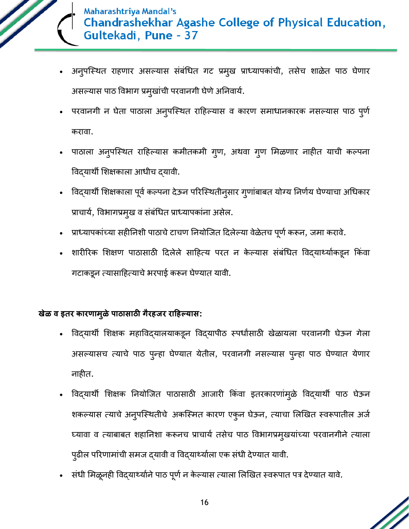

- अनुपस्थित राहणार असल्यास संबंधित गट प्रमुख प्राध्यापकांची, तसेच शाळेत पाठ घेणार असल्यास पाठ विभाग प्रमुखांची परवानगी घेणे अनिवार्य.
- परवानगी न घेता पाठाला अनुपस्थित राहिल्यास व कारण समाधानकारक नसल्यास पाठ पुर्ण करावा.
- पाठाला अनुपस्थित राहिल्यास कमीतकमी गुण, अथवा गुण मिळणार नाहीत याची कल्पना विदयार्थी शिक्षकाला आधीच दयावी.
- विद्यार्थी शिक्षकाला पूर्व कल्पना देऊन परिस्थितीन् सार ग्णांबाबत योग्य निर्णय घेण्याचा अधिकार प्राचार्य, विभागप्रमुख व संबंधित प्राध्यापकांना असेल.
- प्राध्यापकांच्या सहीनिशी पाठाचे टाचण नियोजित दिलेल्या वेळेतच पूर्ण करून, जमा करावे.
- शारीरिक शिक्षण पाठासाठी दिलेले साहित्य परत न केल्यास संबंधित विद्यार्थ्याकडून किंवा गटाकडून त्यासाहित्याचे भरपाई करून घेण्यात यावी.

#### **खेळ ि इतर कारणामुळेपाठासाठी गैरहजर राहहल्यास:**

- विद्यार्थी शिक्षक महाविद्यालयाकडून विद्यापीठ स्पर्धांसाठी खेळायला परवानगी घेऊन गेला असल्यासच त्याचे पाठ पुन्हा घेण्यात येतील, परिानगी नसल्यास पुन्हा पाठ घेण्यात येणार नाहीत.
- विद्यार्थी शिक्षक नियोजित पाठासाठी आजारी किंवा इतरकारणांमुळे विद्यार्थी पाठ घेऊन शकल्यास त्याचे अनुपस्थितीचे अकस्मित कारण एकुन घेऊन, त्याचा लिखित स्वरूपातील अर्ज घ्यावा व त्याबाबत शहानिशा करूनच प्राचार्य तसेच पाठ विभागप्रमुखयांच्या परवानगीने त्याला पुढील परिणामांची समज द्यावी व विद्यार्थ्याला एक संधी देण्यात यावी.
- संधी मिळूनही विद्यार्थ्याने पाठ पूर्ण न केल्यास त्याला लिखित स्वरूपात पत्र देण्यात यावे.

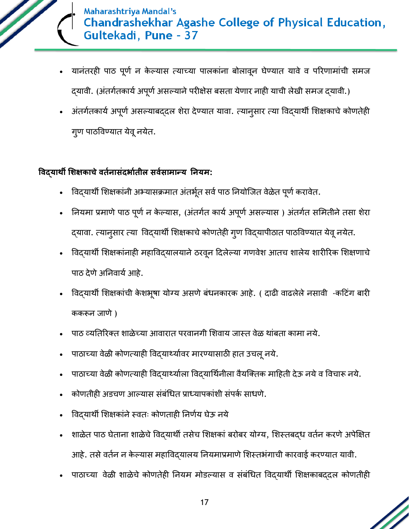

- यानंतरही पाठ पूर्ण न केल्यास त्याच्या पालकांना बोलावून घेण्यात यावे व परिणामांची समज दयावी. (अंतर्गतकार्य अपूर्ण असल्याने परीक्षेस बसता येणार नाही याची लेखी समज दयावी.)
- अंतर्गतकार्य अपूर्ण असल्याबद्दल शेरा देण्यात यावा. त्यानुसार त्या विद्यार्थी शिक्षकाचे कोणतेही गूण पाठविण्यात येवू नयेत.

### **विद्यार्थी शिक्षकाचेितयनासांदर्ायतील सियसामान्य ननयम:**

- विद्यार्थी शिक्षकांनी अभ्यासक्रमात अंतर्भूत सर्व पाठ नियोजित वेळेत पूर्ण करावेत.
- नियमा प्रमाणे पाठ पूर्ण न केल्यास, (अंतर्गत कार्य अपूर्ण असल्यास ) अंतर्गत समितीने तसा शेरा द्यावा. त्यानुसार त्या विद्यार्थी शिक्षकाचे कोणतेही गुण विद्यापीठात पाठविण्यात येवू नयेत.
- विद्यार्थी शिक्षकांनाही महाविद्यालयाने ठरवून दिलेल्या गणवेश आतच शालेय शारीरिक शिक्षणाचे पाठ देणे अनिवार्य आहे.
- विद्यार्थी शिक्षकांची केशभूषा योग्य असणे बंधनकारक आहे. ( दाढी वाढलेले नसावी -कटिंग बारी ककरून जाणे)
- पाठ व्यतिरिक्त शाळेच्या आवारात परवानगी शिवाय जास्त वेळ थांबता कामा नये.
- पाठाच्या वेळी कोणत्याही विद्यार्थ्यावर मारण्यासाठी हात उचलू नये.
- पाठाच्या वेळी कोणत्याही विद्यार्थ्याला विद्यार्थिनीला वैयक्तिक माहिती देऊ नये व विचारू नये.
- कोणतीही अडचण आल्यास संबंधित प्राध्यापकांशी संपर्क साधणे.
- विद्यार्थी शिक्षकांने स्वतः कोणताही निर्णय घेऊ नये
- शाळेत पाठ घेताना शाळेचे विद्यार्थी तसेच शिक्षकां बरोबर योग्य, शिस्तबद्ध वर्तन करणे अपेक्षित आहे. तसे वर्तन न केल्यास महाविदयालय नियमाप्रमाणे शिस्तभंगाची कारवाई करण्यात यावी.
- पाठाच्या वेळी शाळेचे कोणतेही नियम मोडल्यास व संबंधित विद्यार्थी शिक्षकाबद्दल कोणतीही

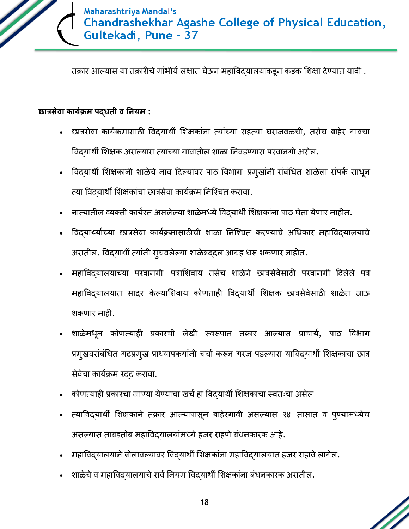

तक्रार आल्यास या तक्रारीचे गांभीर्य लक्षात घेऊन महाविद्यालयाकडून कडक शिक्षा देण्यात यावी .

#### **छात्रसेिा काययक्रम पद्धती ि ननयम :**

- छात्रसेवा कार्यक्रमासाठी विदयार्थी शिक्षकांना त्यांच्या राहत्या घराजवळची, तसेच बाहेर गावचा विद्यार्थी शिक्षक असल्यास त्याच्या गावातील शाळा निवडण्यास परवानगी असेल.
- विद्यार्थी शिक्षकांनी शाळेचे नाव दिल्यावर पाठ विभाग प्रमुखांनी संबंधित शाळेला संपर्क साधून त्या विदयार्थी शिक्षकांचा छात्रसेवा कार्यक्रम निश्चित करावा.
- नात्यातील व्यक्ती कार्यरत असलेल्या शाळेमध्ये विदयार्थी शिक्षकांना पाठ घेता येणार नाहीत.
- विद्यार्थ्यांच्या छात्रसेवा कार्यक्रमासाठीची शाळा निश्चित करण्याचे अधिकार महाविद्यालयाचे असतील. विद्यार्थी त्यांनी सुचवलेल्या शाळेबद्दल आग्रह धरू शकणार नाहीत.
- महाविद्यालयाच्या परवानगी पत्राशिवाय तसेच शाळेने छात्रसेवेसाठी परवानगी दिलेले पत्र महाविद्यालयात सादर केल्याशिवाय कोणताही विद्यार्थी शिक्षक छात्रसेवेसाठी शाळेत जाऊ शकणार नाही.
- शाळेमधून कोणत्याही प्रकारची लेखी स्वरूपात तक्रार आल्यास प्राचार्य, पाठ विभाग प्रमुखवसंबंधित गटप्रमुख प्राध्यापकयांनी चर्चा करून गरज पडल्यास याविद्यार्थी शिक्षकाचा छात्र सेवेचा कार्यक्रम रदद करावा.
- कोणत्याही प्रकारचा जाण्या येण्याचा खर्च हा विद्यार्थी शिक्षकाचा स्वतःचा असेल
- त्याविद्यार्थी शिक्षकाने तक्रार आल्यापासून बाहेरगावी असल्यास २४ तासात व पुण्यामध्येच असल्यास ताबितोब महाविद्यालयांमध्येहजर राहणेबंधनकारक आहे.
- महाविदयालयाने बोलावल्यावर विदयार्थी शिक्षकांना महाविदयालयात हजर राहावे लागेल.
- शाळेचे व महाविद्यालयाचे सर्व नियम विद्यार्थी शिक्षकांना बंधनकारक असतील.